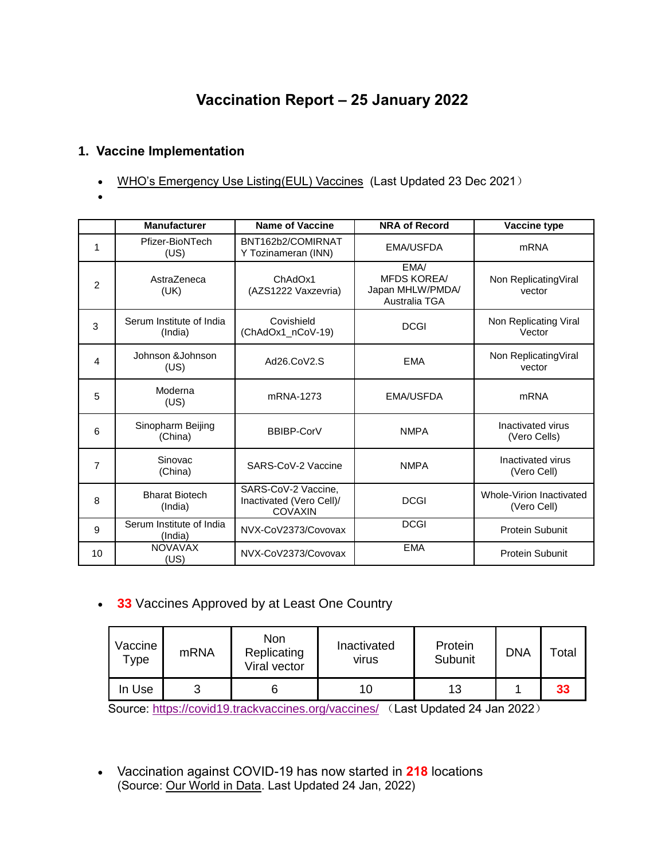# **Vaccination Report – 25 January 2022**

### **1. Vaccine Implementation**

- [WHO's Emergency Use Listing\(EUL\) Vaccines](https://extranet.who.int/pqweb/sites/default/files/documents/Status_COVID_VAX_23Dec2021.pdf) (Last Updated 23 Dec 2021)
- $\bullet$

|    | <b>Manufacturer</b>                 | <b>Name of Vaccine</b>                                            | <b>NRA of Record</b>                                            | Vaccine type                            |
|----|-------------------------------------|-------------------------------------------------------------------|-----------------------------------------------------------------|-----------------------------------------|
| 1  | Pfizer-BioNTech<br>(US)             | BNT162b2/COMIRNAT<br>Y Tozinameran (INN)                          | <b>EMA/USFDA</b>                                                | <b>mRNA</b>                             |
| 2  | AstraZeneca<br>(UK)                 | ChAdOx1<br>(AZS1222 Vaxzevria)                                    | EMA/<br><b>MFDS KOREA/</b><br>Japan MHLW/PMDA/<br>Australia TGA | Non ReplicatingViral<br>vector          |
| 3  | Serum Institute of India<br>(India) | Covishield<br>(ChAdOx1_nCoV-19)                                   | <b>DCGI</b>                                                     | Non Replicating Viral<br>Vector         |
| 4  | Johnson &Johnson<br>(US)            | Ad26.CoV2.S                                                       | <b>EMA</b>                                                      | Non ReplicatingViral<br>vector          |
| 5  | Moderna<br>(US)                     | mRNA-1273                                                         | <b>EMA/USFDA</b>                                                | <b>mRNA</b>                             |
| 6  | Sinopharm Beijing<br>(China)        | BBIBP-CorV                                                        | <b>NMPA</b>                                                     | Inactivated virus<br>(Vero Cells)       |
| 7  | Sinovac<br>(China)                  | SARS-CoV-2 Vaccine                                                | <b>NMPA</b>                                                     | Inactivated virus<br>(Vero Cell)        |
| 8  | <b>Bharat Biotech</b><br>(India)    | SARS-CoV-2 Vaccine,<br>Inactivated (Vero Cell)/<br><b>COVAXIN</b> | <b>DCGI</b>                                                     | Whole-Virion Inactivated<br>(Vero Cell) |
| 9  | Serum Institute of India<br>(India) | NVX-CoV2373/Covovax                                               | <b>DCGI</b>                                                     | <b>Protein Subunit</b>                  |
| 10 | <b>NOVAVAX</b><br>(US)              | NVX-CoV2373/Covovax                                               | <b>EMA</b>                                                      | Protein Subunit                         |

**33** Vaccines Approved by at Least One Country

| Vaccine<br>Туре | <b>mRNA</b> | Non<br>Replicating<br>Viral vector | Inactivated<br>virus | Protein<br>Subunit | <b>DNA</b> | $\mathsf{Total}$ |
|-----------------|-------------|------------------------------------|----------------------|--------------------|------------|------------------|
| In Use          | 3           | O                                  | 10                   | 13                 |            | 33               |

Source:<https://covid19.trackvaccines.org/vaccines/> (Last Updated 24 Jan 2022)

 Vaccination against COVID-19 has now started in **218** locations (Source: [Our World in Data.](https://ourworldindata.org/covid-vaccinations) Last Updated 24 Jan, 2022)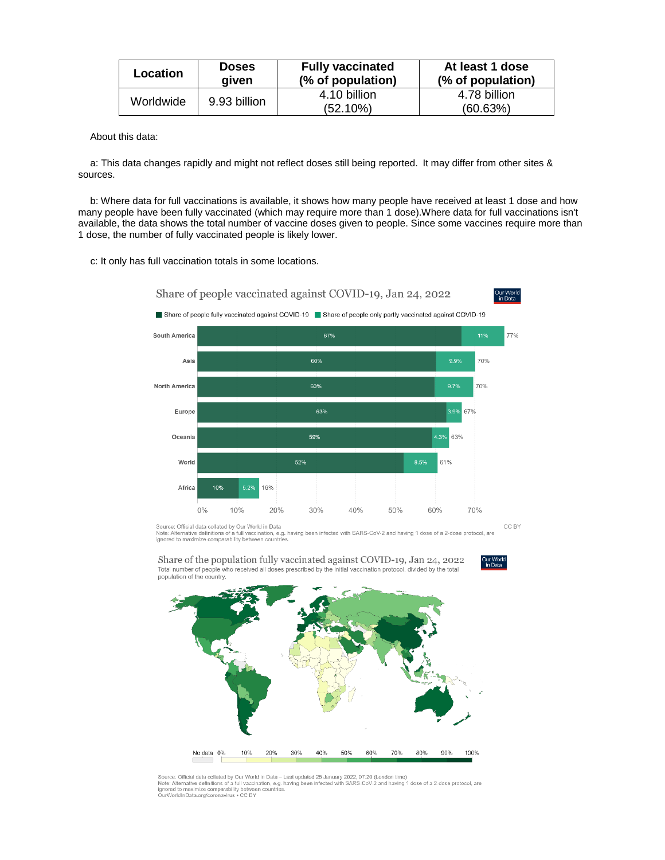| <b>Doses</b><br>aiven | <b>Fully vaccinated</b><br>(% of population) | At least 1 dose<br>(% of population) |
|-----------------------|----------------------------------------------|--------------------------------------|
| 9.93 billion          | 4.10 billion                                 | 4.78 billion<br>(60.63%)             |
|                       |                                              | (52.10%)                             |

About this data:

a: This data changes rapidly and might not reflect doses still being reported. It may differ from other sites & sources.

b: Where data for full vaccinations is available, it shows how many people have received at least 1 dose and how many people have been fully vaccinated (which may require more than 1 dose).Where data for full vaccinations isn't available, the data shows the total number of vaccine doses given to people. Since some vaccines require more than 1 dose, the number of fully vaccinated people is likely lower.

c: It only has full vaccination totals in some locations.



Source: Official data collated by Our World in Data<br>Note: Alternative definitions of a full vaccination, e.g. having been infected with SARS-CoV-2 and having 1 dose of a 2-dose protocol, are<br>ignored to maximize comparabili

Share of the population fully vaccinated against COVID-19, Jan 24, 2022 Total number of people who received all doses prescribed by the initial vaccination protocol, divided by the total<br>population of the country.



Source: Official data collated by Our World in Data – Last updated 25 January 2022, 07:20 (London time)<br>Note: Alternative definitions of a full vaccination, e.g. having been infected with SARS-CoV-2 and having 1 dose of a ignored to maximize comparability between countries.<br>OurWorldInData.org/coronavirus • CC BY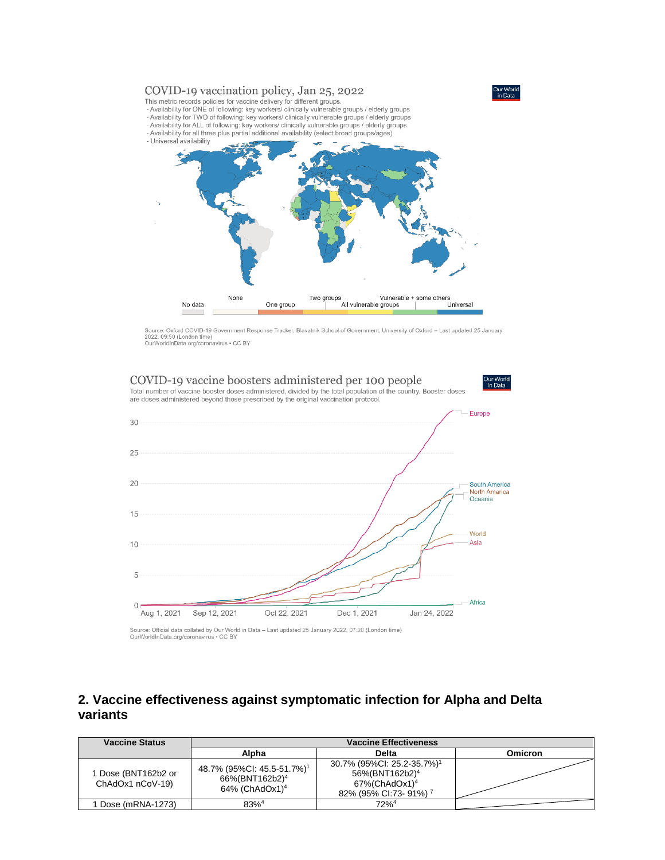

Source: Oxford COVID-19 Government Response Tracker, Blavatnik School of Government, University of Oxford - Last updated 25 January 2022, 09:50 (London time)<br>OurWorldInData.org/coronavirus • CC BY



Source: Official data collated by Our World in Data – Last updated 25 January 2022, 07:20 (London time)<br>OurWorldInData.org/coronavirus • CC BY

#### **2. Vaccine effectiveness against symptomatic infection for Alpha and Delta variants**

| <b>Vaccine Status</b>                   | <b>Vaccine Effectiveness</b>                                                                       |                                                                                                                                           |                |
|-----------------------------------------|----------------------------------------------------------------------------------------------------|-------------------------------------------------------------------------------------------------------------------------------------------|----------------|
|                                         | Alpha                                                                                              | Delta                                                                                                                                     | <b>Omicron</b> |
| 1 Dose (BNT162b2 or<br>ChAdOx1 nCoV-19) | 48.7% (95%CI: 45.5-51.7%) <sup>1</sup><br>66%(BNT162b2) <sup>4</sup><br>64% (ChAdOx1) <sup>4</sup> | 30.7% (95%CI: 25.2-35.7%) <sup>1</sup><br>56%(BNT162b2) <sup>4</sup><br>$67\%$ (ChAdOx1) <sup>4</sup><br>82% (95% CI:73-91%) <sup>7</sup> |                |
| Dose (mRNA-1273)                        | $83%^{4}$                                                                                          | $72\%$ <sup>4</sup>                                                                                                                       |                |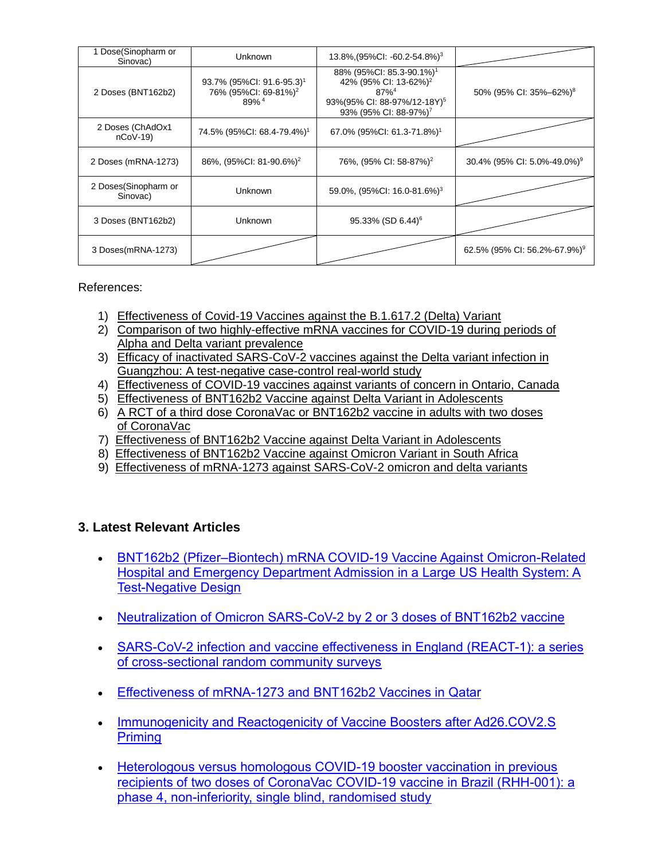| Dose(Sinopharm or<br>Sinovac)    | Unknown                                                                                       | $13.8\%$ , $(95\%$ CI: -60.2-54.8%) <sup>3</sup>                                                                                                                                 |                                          |
|----------------------------------|-----------------------------------------------------------------------------------------------|----------------------------------------------------------------------------------------------------------------------------------------------------------------------------------|------------------------------------------|
| 2 Doses (BNT162b2)               | 93.7% (95%Cl: 91.6-95.3) <sup>1</sup><br>76% (95%Cl: 69-81%) <sup>2</sup><br>89% <sup>4</sup> | 88% (95%Cl: 85.3-90.1%) <sup>1</sup><br>42% (95% CI: 13-62%) <sup>2</sup><br>$87\%$ <sup>4</sup><br>93%(95% CI: 88-97%/12-18Y) <sup>5</sup><br>93% (95% CI: 88-97%) <sup>7</sup> | 50% (95% CI: 35%-62%) <sup>8</sup>       |
| 2 Doses (ChAdOx1<br>$nCoV-19$    | 74.5% (95%CI: 68.4-79.4%) <sup>1</sup>                                                        | 67.0% (95%Cl: 61.3-71.8%) <sup>1</sup>                                                                                                                                           |                                          |
| 2 Doses (mRNA-1273)              | 86%, (95%CI: 81-90.6%) <sup>2</sup>                                                           | 76%, (95% CI: 58-87%) <sup>2</sup>                                                                                                                                               | 30.4% (95% CI: 5.0%-49.0%) <sup>9</sup>  |
| 2 Doses(Sinopharm or<br>Sinovac) | Unknown                                                                                       | 59.0%, (95%CI: 16.0-81.6%) <sup>3</sup>                                                                                                                                          |                                          |
| 3 Doses (BNT162b2)               | Unknown                                                                                       | 95.33% (SD 6.44) <sup>6</sup>                                                                                                                                                    |                                          |
| 3 Doses(mRNA-1273)               |                                                                                               |                                                                                                                                                                                  | 62.5% (95% CI: 56.2%-67.9%) <sup>9</sup> |

References:

- 1) [Effectiveness of Covid-19 Vaccines against the B.1.617.2 \(Delta\) Variant](https://www.nejm.org/doi/pdf/10.1056/NEJMoa2108891?articleTools=true)
- 2) Comparison of [two highly-effective mRNA vaccines for COVID-19 during periods of](https://www.medrxiv.org/content/10.1101/2021.08.06.21261707v1.full.pdf)  [Alpha and Delta variant prevalence](https://www.medrxiv.org/content/10.1101/2021.08.06.21261707v1.full.pdf)
- 3) [Efficacy of inactivated SARS-CoV-2 vaccines against the Delta variant infection in](https://www.tandfonline.com/doi/full/10.1080/22221751.2021.1969291)  [Guangzhou: A test-negative case-control real-world study](https://www.tandfonline.com/doi/full/10.1080/22221751.2021.1969291)
- 4) [Effectiveness of COVID-19 vaccines against variants of concern in Ontario, Canada](https://www.medrxiv.org/content/10.1101/2021.06.28.21259420v2.full.pdf)
- 5) [Effectiveness of BNT162b2 Vaccine against Delta Variant in Adolescents](https://www.nejm.org/doi/pdf/10.1056/NEJMc2114290?articleTools=true)
- 6) A RCT of a third dose CoronaVac [or BNT162b2 vaccine in adults with two doses](https://www.medrxiv.org/content/10.1101/2021.11.02.21265843v1.full.pdf)  [of CoronaVac](https://www.medrxiv.org/content/10.1101/2021.11.02.21265843v1.full.pdf)
- 7) [Effectiveness of BNT162b2 Vaccine against Delta Variant in Adolescents](https://www.nejm.org/doi/full/10.1056/NEJMc2114290?query=featured_home)
- 8) [Effectiveness of BNT162b2 Vaccine against Omicron Variant in South Africa](https://www.nejm.org/doi/full/10.1056/NEJMc2119270)
- 9) [Effectiveness of mRNA-1273 against SARS-CoV-2 omicron and delta variants](https://www.medrxiv.org/content/10.1101/2022.01.07.22268919v1)

#### **3. Latest Relevant Articles**

- [BNT162b2 \(Pfizer–Biontech\) mRNA COVID-19 Vaccine Against Omicron-Related](https://papers.ssrn.com/sol3/papers.cfm?abstract_id=4011905)  [Hospital and Emergency Department Admission in a Large US Health System: A](https://papers.ssrn.com/sol3/papers.cfm?abstract_id=4011905)  [Test-Negative Design](https://papers.ssrn.com/sol3/papers.cfm?abstract_id=4011905)
- [Neutralization of Omicron SARS-CoV-2 by 2 or 3 doses of BNT162b2 vaccine](https://www.biorxiv.org/content/10.1101/2022.01.21.476344v1)
- [SARS-CoV-2 infection and vaccine effectiveness in England \(REACT-1\): a series](https://www.thelancet.com/journals/lanres/article/PIIS2213-2600(21)00542-7/fulltext)  [of cross-sectional random community surveys](https://www.thelancet.com/journals/lanres/article/PIIS2213-2600(21)00542-7/fulltext)
- [Effectiveness of mRNA-1273 and BNT162b2 Vaccines in Qatar](https://www.nejm.org/doi/full/10.1056/NEJMc2117933?query=featured_home)
- Immunogenicity and Reactogenicity of Vaccine Boosters after Ad26.COV2.S **[Priming](https://www.nejm.org/doi/full/10.1056/NEJMoa2116747?query=featured_home)**
- [Heterologous versus homologous COVID-19 booster vaccination in previous](https://www.thelancet.com/journals/lancet/article/PIIS0140-6736(22)00094-0/fulltext)  recipients of two doses of CoronaVac [COVID-19 vaccine in Brazil \(RHH-001\): a](https://www.thelancet.com/journals/lancet/article/PIIS0140-6736(22)00094-0/fulltext)  [phase 4, non-inferiority, single blind, randomised study](https://www.thelancet.com/journals/lancet/article/PIIS0140-6736(22)00094-0/fulltext)